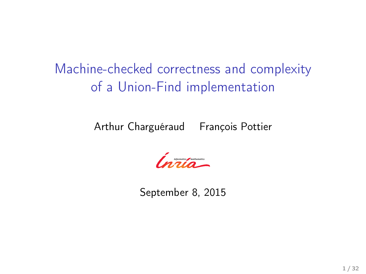Machine-checked correctness and complexity of a Union-Find implementation

Arthur Charguéraud François Pottier

*Communication* 

September 8, 2015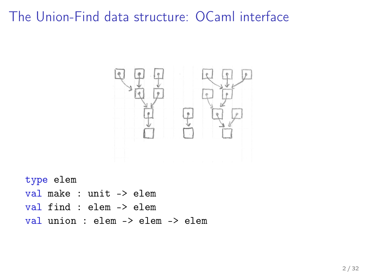## The Union-Find data structure: OCaml interface



type elem val make : unit -> elem val find : elem -> elem val union : elem -> elem -> elem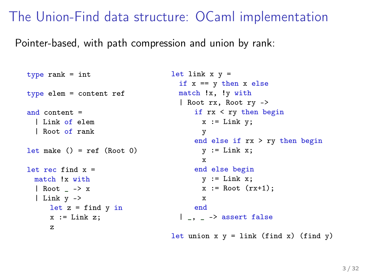## The Union-Find data structure: OCaml implementation

Pointer-based, with path compression and union by rank:

```
type rank = int
type elem = content ref
and content =
 | Link of elem
 | Root of rank
let make () = ref (Root 0)let rec find x =match !x with
 | Root _ -> x
  | Link y ->
     let z = \text{find } y \text{ in}x := Link z:
     z
                                    let link x y =if x == v then x else
                                      match !x, !y with
                                      | Root rx, Root ry ->
                                          if rx < ry then begin
                                           x := Link y;
                                            y
                                          end else if rx > ry then begin
                                           v := Link x:
                                           x
                                       end else begin
                                           v := Link x:
                                           x := Root (rx+1);x
                                          end
                                      |, \overline{\ } -> assert false
```
let union  $x y = link (find x) (find y)$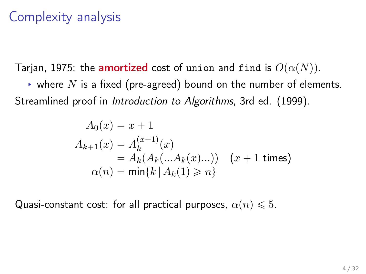# Complexity analysis

Tarjan, 1975: the amortized cost of union and find is  $O(\alpha(N))$ .

 $\rightarrow$  where N is a fixed (pre-agreed) bound on the number of elements. Streamlined proof in *Introduction to Algorithms*, 3rd ed. (1999).

$$
A_0(x) = x + 1
$$
  
\n
$$
A_{k+1}(x) = A_k^{(x+1)}(x)
$$
  
\n
$$
= A_k(A_k(...A_k(x)...)) \quad (x + 1 \text{ times})
$$
  
\n
$$
\alpha(n) = \min\{k \mid A_k(1) \ge n\}
$$

Quasi-constant cost: for all practical purposes,  $\alpha(n) \leq 5$ .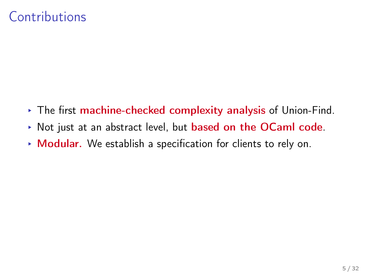# Contributions

- § The first machine-checked complexity analysis of Union-Find.
- ▶ Not just at an abstract level, but **based on the OCaml code**.
- ▶ Modular. We establish a specification for clients to rely on.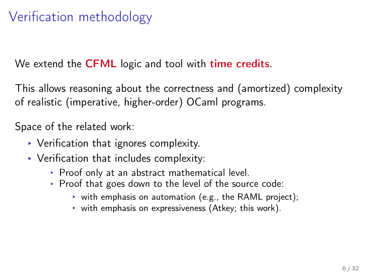# Verification methodology

We extend the **CFML** logic and tool with **time credits**.

This allows reasoning about the correctness and (amortized) complexity of realistic (imperative, higher-order) OCaml programs.

Space of the related work:

- $\triangleright$  Verification that ignores complexity.
- $\blacktriangleright$  Verification that includes complexity:
	- § Proof only at an abstract mathematical level.
	- § Proof that goes down to the level of the source code:
		- $\rightarrow$  with emphasis on automation (e.g., the RAML project);
		- $\triangleright$  with emphasis on expressiveness (Atkey; this work).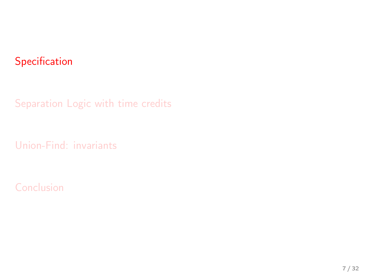#### <span id="page-6-0"></span>[Specification](#page-6-0)

[Separation Logic with time credits](#page-11-0)

[Union-Find: invariants](#page-20-0)

[Conclusion](#page-29-0)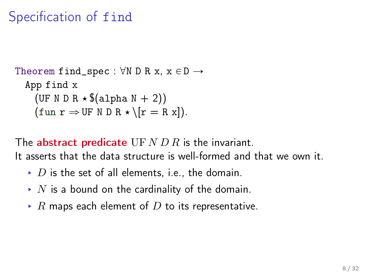# Specification of find

```
Theorem find_spec : \forall N \ D \ R \ x, \ x \in D \rightarrowApp find x
       (UF N D R \star $(alpha N + 2))
       (\text{fun } r \Rightarrow \text{UF } N \text{ D } R \star \setminus [r = R \text{ x}]).
```
The **abstract predicate** UF  $N$  D  $R$  is the invariant. It asserts that the data structure is well-formed and that we own it.

- $\rightarrow$  D is the set of all elements, i.e., the domain.
- $\blacktriangleright$  N is a bound on the cardinality of the domain.
- $\triangleright$  R maps each element of D to its representative.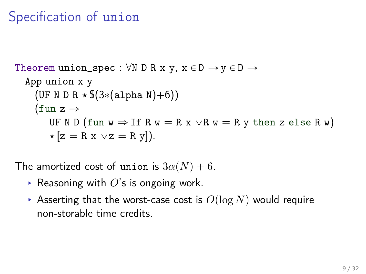# Specification of union

```
Theorem union_spec : \forall N \ D \ R \ x \ y, \ x \in D \rightarrow y \in D \rightarrowApp union x y
     (UF N D R \star $(3*(alpha N)+6))
     (fun z \RightarrowUF N D (fun w \Rightarrow If R w = R x \lor R w = R y then z else R w)
         \star [z = R x \vee z = R y]).
```
The amortized cost of union is  $3\alpha(N) + 6$ .

- Exert Reasoning with  $O$ 's is ongoing work.
- ▶ Asserting that the worst-case cost is  $O(\log N)$  would require non-storable time credits.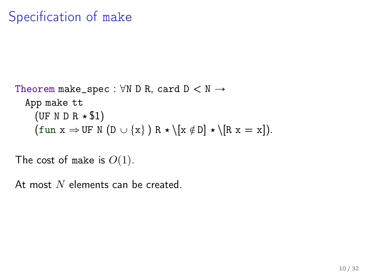```
Theorem make_spec : \forall N D R, card D \lt N \rightarrowApp make tt
      (UF N D R \star $1)
      (\text{fun } x \Rightarrow \text{UF } N \text{ (D } \cup \{x\} ) R \star \{x \notin D\} \star \{R x = x\}).
```
The cost of make is  $O(1)$ .

At most  $N$  elements can be created.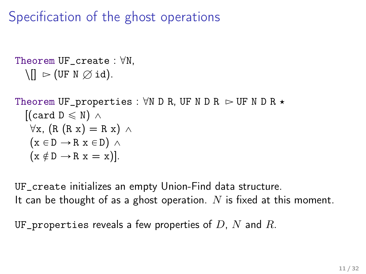Specification of the ghost operations

```
Theorem UF\_create : \forall N,
    \[\n\ \bigcap \ \triangleright (\text{UF N } \oslash \text{id}).\]
```

```
Theorem UF_properties : \forall N \ D \ R, UF N D R \triangleright UF N D R \star[(card D \leq N) \wedge\forall x, (R (R x) = R x) \wedge(x \in D \rightarrow R x \in D) \land(x \notin D \rightarrow R x = x).
```
UF\_create initializes an empty Union-Find data structure. It can be thought of as a ghost operation. N is fixed at this moment.

UF\_properties reveals a few properties of  $D$ ,  $N$  and  $R$ .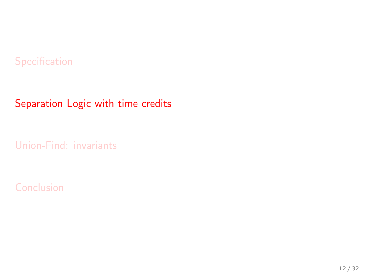#### <span id="page-11-0"></span>[Specification](#page-6-0)

#### [Separation Logic with time credits](#page-11-0)

[Union-Find: invariants](#page-20-0)

#### [Conclusion](#page-29-0)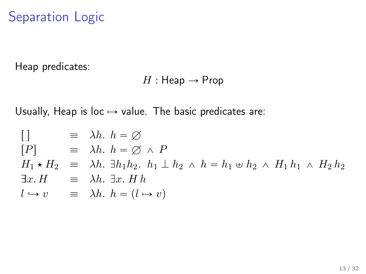# Separation Logic

Heap predicates:

$$
H: \mathsf{Heap} \to \mathsf{Prop}
$$

Usually, Heap is loc  $\mapsto$  value. The basic predicates are:

$$
[ ] \equiv \lambda h. \quad h = \varnothing
$$
  
\n
$$
[ P ] \equiv \lambda h. \quad h = \varnothing \wedge P
$$
  
\n
$$
H_1 \star H_2 \equiv \lambda h. \quad \exists h_1 h_2. \quad h_1 \perp h_2 \wedge h = h_1 \uplus h_2 \wedge H_1 h_1 \wedge H_2 h_2
$$
  
\n
$$
\exists x. H \equiv \lambda h. \quad \exists x. H \quad h
$$
  
\n
$$
l \rightarrow v \equiv \lambda h. \quad h = (l \rightarrow v)
$$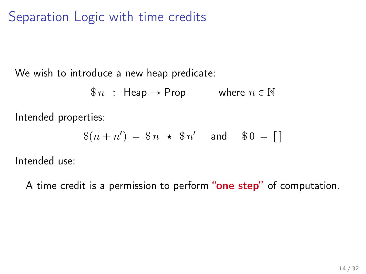Separation Logic with time credits

We wish to introduce a new heap predicate:

 $\$\,n\;:\;$  Heap  $\rightarrow$  Prop where  $n \in \mathbb{N}$ 

Intended properties:

$$
$(n+n') = $n \star $n' \text{ and } $0 = [ ]
$$

Intended use:

A time credit is a permission to perform "one step" of computation.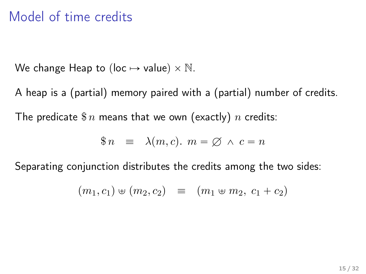## Model of time credits

We change Heap to (loc  $\mapsto$  value)  $\times$  N.

A heap is a (partial) memory paired with a (partial) number of credits. The predicate  $\text{\$}n$  means that we own (exactly) n credits:

$$
\$\,n\quad\equiv\quad\lambda(m,c).\,\,m=\varnothing\,\wedge\,c=n
$$

Separating conjunction distributes the credits among the two sides:

$$
(m_1, c_1) \oplus (m_2, c_2) \equiv (m_1 \oplus m_2, c_1 + c_2)
$$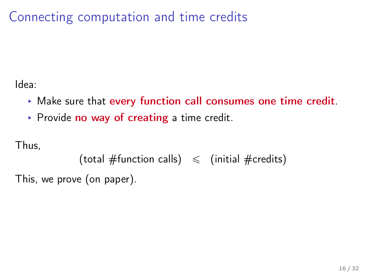Connecting computation and time credits

Idea:

- $\triangleright$  Make sure that every function call consumes one time credit.
- ▶ Provide no way of creating a time credit.

Thus,

```
(total #function calls) \leq (initial #credits)
```
This, we prove (on paper).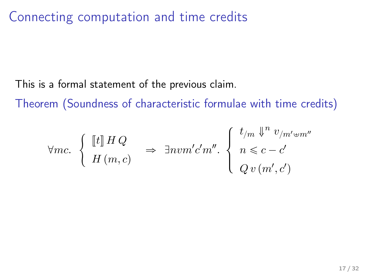Connecting computation and time credits

This is a formal statement of the previous claim.

Theorem (Soundness of characteristic formulae with time credits)

$$
\forall mc. \begin{cases} \begin{bmatrix} \begin{bmatrix} t \end{bmatrix} H Q \\ H \left( m, c \right) \end{bmatrix} \Rightarrow \exists n v m' c' m''. \begin{cases} \begin{array}{c} t_{/m} \Downarrow^n v_{/m' \oplus m''} \\ n \leqslant c - c' \\ Q v \left( m', c' \right) \end{array} \end{cases}
$$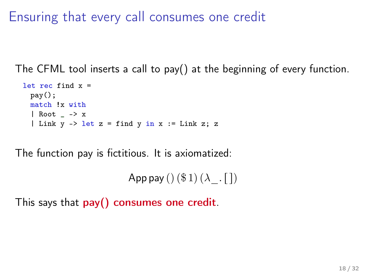Ensuring that every call consumes one credit

The CFML tool inserts a call to pay() at the beginning of every function.

```
let rec find x =pay();
  match !x with
  | Root \rightarrow x| Link y \rightarrow let z = find y in x := Link z; z
```
The function pay is fictitious. It is axiomatized:

App pay ()  $(\$ 1)(\lambda \quad \text{[}$ ])

This says that pay() consumes one credit.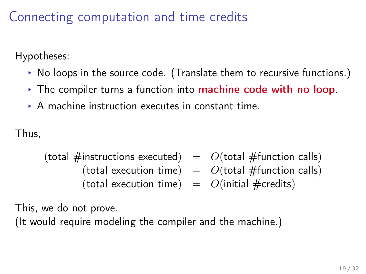Connecting computation and time credits

Hypotheses:

- § No loops in the source code. (Translate them to recursive functions.)
- $\rightarrow$  The compiler turns a function into machine code with no loop.
- § A machine instruction executes in constant time.

Thus,

(total #instructions executed)  $= O(\text{total #function calls})$ (total execution time)  $= O(\text{total } \# \text{function calls})$ (total execution time)  $= O(\text{initial } \# \text{credits})$ 

This, we do not prove.

(It would require modeling the compiler and the machine.)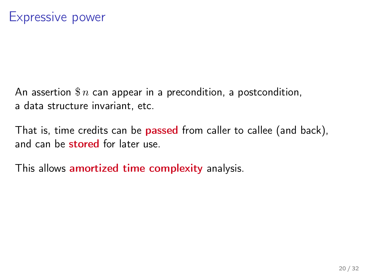An assertion  $\frac{2}{3}n$  can appear in a precondition, a postcondition, a data structure invariant, etc.

That is, time credits can be **passed** from caller to callee (and back), and can be stored for later use.

This allows amortized time complexity analysis.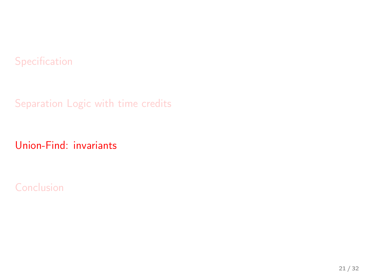#### <span id="page-20-0"></span>[Specification](#page-6-0)

[Separation Logic with time credits](#page-11-0)

[Union-Find: invariants](#page-20-0)

[Conclusion](#page-29-0)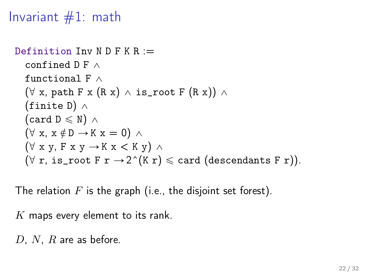Invariant  $#1$ : math

```
Definition Inv N D F K R :=confined D F \wedgefunctional F \wedge(\forall x, \text{path } F \times (R \times) \wedge \text{ is root } F (R \times))(finite D) \wedge(card D \leq N) \wedge(\forall x, x \notin D \rightarrow K x = 0) \land(\forall x y, F x y \rightarrow K x < K y) \land(\forall r, is_root F r \rightarrow 2^(K r) \leq card (descendants F r)).
```
The relation  $F$  is the graph (i.e., the disjoint set forest).

 $K$  maps every element to its rank.

D, N, R are as before.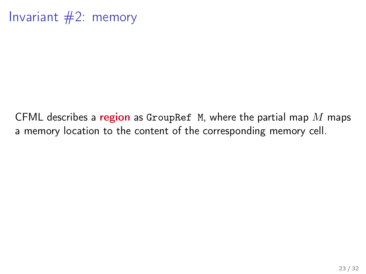Invariant #2: memory

CFML describes a region as GroupRef M, where the partial map  $M$  maps a memory location to the content of the corresponding memory cell.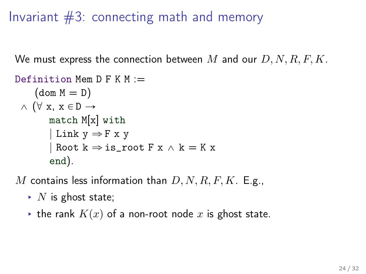# Invariant #3: connecting math and memory

We must express the connection between M and our  $D, N, R, F, K$ .

```
Definition Mem D F K M :=(\text{dom } M = D)\wedge (\forall x, x \in D \rightarrowmatch M[x] with
          | Link y \Rightarrow F x yRoot k \Rightarrow is\_root F x \wedge k = K xend).
```
M contains less information than  $D, N, R, F, K$ . E.g.,

- $\blacktriangleright$  N is ghost state;
- $\triangleright$  the rank  $K(x)$  of a non-root node x is ghost state.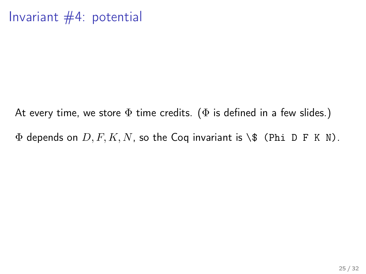## Invariant #4: potential

At every time, we store  $\Phi$  time credits. ( $\Phi$  is defined in a few slides.)  $\Phi$  depends on  $D, F, K, N$ , so the Coq invariant is \\$ (Phi D F K N).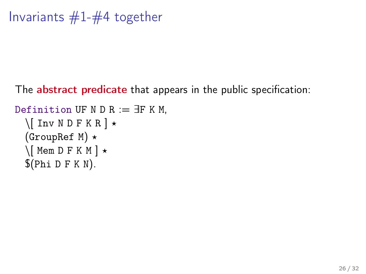```
Invariants #1-#4 together
```
The **abstract predicate** that appears in the public specification:

```
Definition UF N D R := \existsF K M,
  \setminus[ Inv N D F K R ] \star(GroupRef M) \star\setminus Mem D F K M \star$(Phi D F K N).
```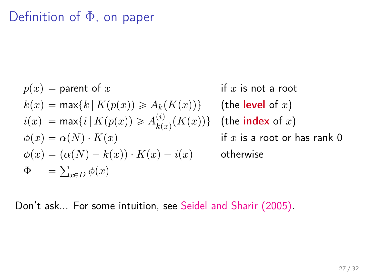# Definition of Φ, on paper

$$
\begin{array}{ll} p(x) = \text{parent of } x & \text{if } x \text{ is not a root} \\ k(x) = \max\{k \,|\, K(p(x)) \geqslant A_k(K(x))\} & \text{(the level of } x) \\ i(x) = \max\{i \,|\, K(p(x)) \geqslant A_{k(x)}^{(i)}(K(x))\} & \text{(the index of } x) \\ \phi(x) = \alpha(N) \cdot K(x) & \text{if } x \text{ is a root or has rank } 0 \\ \phi(x) = (\alpha(N) - k(x)) \cdot K(x) - i(x) & \text{otherwise} \\ \Phi & = \sum_{x \in D} \phi(x) & \end{array}
$$

Don't ask... For some intuition, see [Seidel and Sharir \(2005\).](http://dx.doi.org/10.1137/S0097539703439088)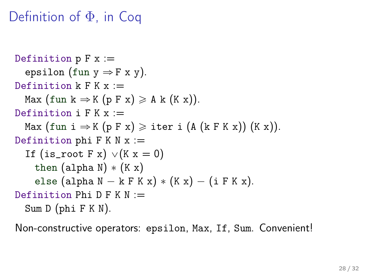## Definition of Φ, in Coq

```
Definition p F x :=epsilon (fun y \Rightarrow F x y).
Definition k \nightharpoonup K x :=Max (fun k \Rightarrow K (p F x) \geq A k (K x)).
Definition i F K x :=Max (fun i \Rightarrow K (p F x) \geq iter i (A (k F K x)) (K x)).
Definition phi F K N x :=If (is_root F x) \vee (K x = 0)
    then (alpha N) * (K x)else (alpha N - k F K x) * (K x) - (i F K x).
Definition Phi D F K N :=Sum D (phi F K N).
```
Non-constructive operators: epsilon, Max, If, Sum. Convenient!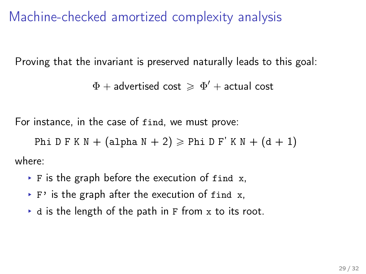Machine-checked amortized complexity analysis

Proving that the invariant is preserved naturally leads to this goal:

 $\Phi+$  advertised cost  $\,\geqslant\, \Phi'+$  actual cost

For instance, in the case of find, we must prove:

Phi D F K N + (alpha N + 2)  $\ge$  Phi D F' K N + (d + 1)

where:

- $\triangleright$  F is the graph before the execution of find x,
- $\rightarrow$  F' is the graph after the execution of find x,
- $\bullet$  d is the length of the path in F from x to its root.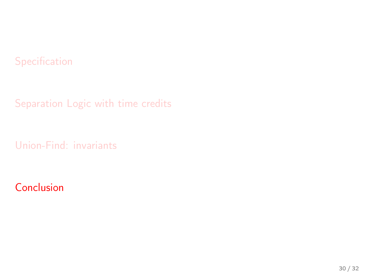#### <span id="page-29-0"></span>[Specification](#page-6-0)

[Separation Logic with time credits](#page-11-0)

[Union-Find: invariants](#page-20-0)

#### [Conclusion](#page-29-0)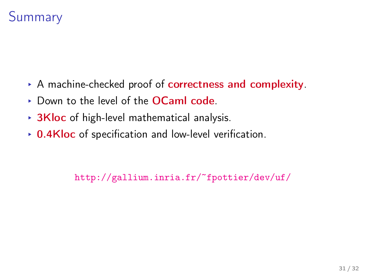

- § A machine-checked proof of correctness and complexity.
- § Down to the level of the OCaml code.
- $\rightarrow$  3Kloc of high-level mathematical analysis.
- $\rightarrow$  0.4Kloc of specification and low-level verification.

<http://gallium.inria.fr/~fpottier/dev/uf/>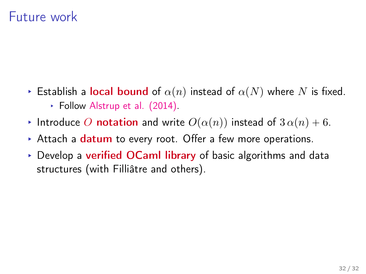## Future work

- Establish a local bound of  $\alpha(n)$  instead of  $\alpha(N)$  where N is fixed. § Follow [Alstrup et al. \(2014\).](http://doi.acm.org/10.1145/2636922)
- Introduce O notation and write  $O(\alpha(n))$  instead of  $3 \alpha(n) + 6$ .
- $\triangleright$  Attach a datum to every root. Offer a few more operations.
- $\rightarrow$  Develop a verified OCaml library of basic algorithms and data structures (with Filliâtre and others).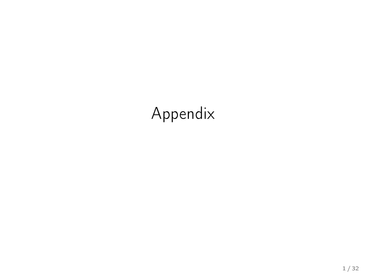# Appendix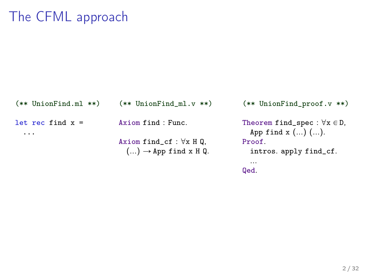# The CFML approach

```
(** UnionFind.ml **)
let rec find x =...
                               (** UnionFind ml.v **)Axiom find : Func.
                               Axiom find_cf : \forall x \mathbb{H} \mathbb{Q},
                                  (...) \rightarrow App find x H Q.
                                                                     (** UnionFind_proof.v **)
                                                                     Theorem find_spec : \forall x \in D,
                                                                        App find x (...) (...).
                                                                     Proof.
                                                                        intros. apply find_cf.
                                                                        ...
                                                                     Qed.
```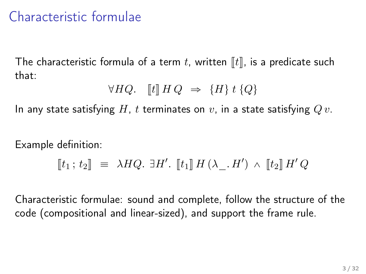# Characteristic formulae

The characteristic formula of a term t, written  $\llbracket t \rrbracket$ , is a predicate such that:

$$
\forall HQ. \quad [t] \, H \, Q \Rightarrow \{H\} \, t \, \{Q\}
$$

In any state satisfying H, t terminates on v, in a state satisfying  $Qv$ .

Example definition:

$$
\llbracket t_1 \, ; \, t_2 \rrbracket \;\; \equiv \;\; \lambda H Q. \; \exists H'. \; \llbracket t_1 \rrbracket \, H \, (\lambda \_ A'') \; \wedge \; \llbracket t_2 \rrbracket \, H' Q
$$

Characteristic formulae: sound and complete, follow the structure of the code (compositional and linear-sized), and support the frame rule.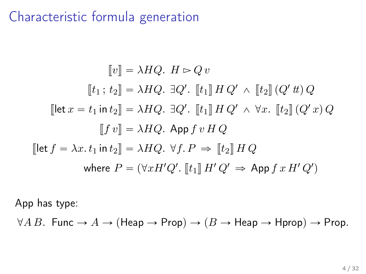## Characteristic formula generation

$$
[\![v]\!] = \lambda HQ. \ H \rhd Q \, v
$$
\n
$$
[\![t_1; t_2]\!] = \lambda HQ. \ \exists Q'. \ [\![t_1]\!] \ H \ Q' \wedge [\![t_2]\!] \ (Q' \, t\!) \ Q
$$
\n
$$
[\![\!] \text{let } x = t_1 \text{ in } t_2 \!] = \lambda HQ. \ \exists Q'. \ [\![t_1]\!] \ H \ Q' \wedge \forall x. \ [\![t_2]\!] \ (Q' \, x) \ Q
$$
\n
$$
[\![f \, v]\!] = \lambda HQ. \ \text{App } f \, v \ H \ Q
$$
\n
$$
[\![\!] \text{let } f = \lambda x. \ t_1 \text{ in } t_2 \!] = \lambda HQ. \ \forall f. \ P \Rightarrow [\![t_2]\!] \ H \ Q
$$
\n
$$
\text{where } P = (\forall x H' Q'. \ [\![t_1]\!] \ H' \ Q' \Rightarrow \text{App } f \, x \ H' \ Q')
$$

App has type:

 $\forall A B$ . Func  $\rightarrow A \rightarrow (\text{Heap} \rightarrow \text{Prop}) \rightarrow (B \rightarrow \text{Heap} \rightarrow \text{Hprop}) \rightarrow \text{Prop}$ .